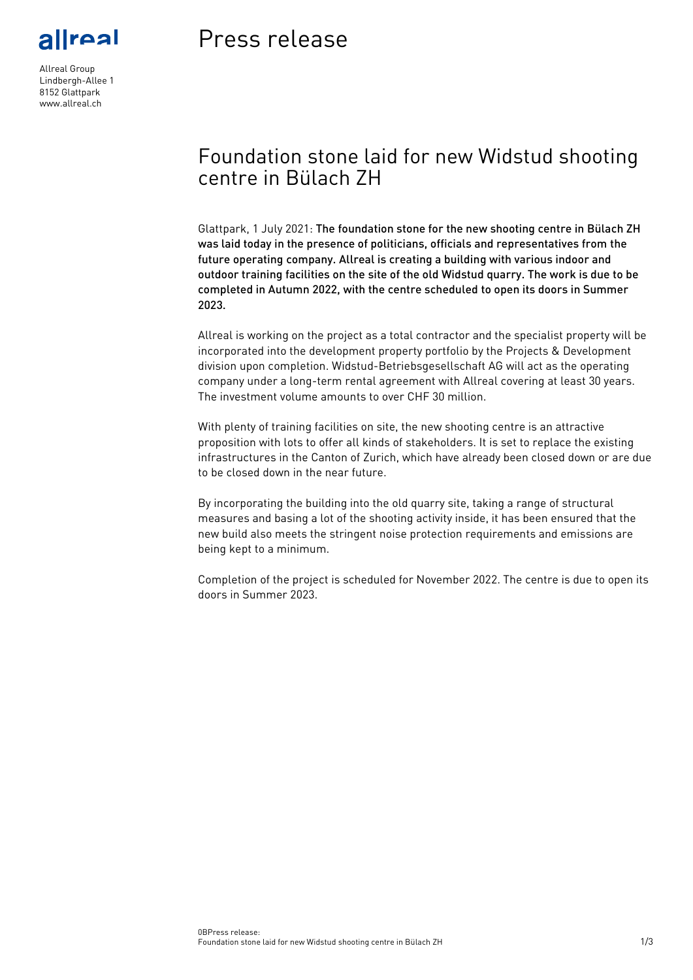<u>Ireal</u>

Allreal Group Lindbergh-Allee 1 8152 Glattpark www.allreal.ch

# Press release

## Foundation stone laid for new Widstud shooting centre in Bülach ZH

Glattpark, 1 July 2021: The foundation stone for the new shooting centre in Bülach ZH was laid today in the presence of politicians, officials and representatives from the future operating company. Allreal is creating a building with various indoor and outdoor training facilities on the site of the old Widstud quarry. The work is due to be completed in Autumn 2022, with the centre scheduled to open its doors in Summer 2023.

Allreal is working on the project as a total contractor and the specialist property will be incorporated into the development property portfolio by the Projects & Development division upon completion. Widstud-Betriebsgesellschaft AG will act as the operating company under a long-term rental agreement with Allreal covering at least 30 years. The investment volume amounts to over CHF 30 million.

With plenty of training facilities on site, the new shooting centre is an attractive proposition with lots to offer all kinds of stakeholders. It is set to replace the existing infrastructures in the Canton of Zurich, which have already been closed down or are due to be closed down in the near future.

By incorporating the building into the old quarry site, taking a range of structural measures and basing a lot of the shooting activity inside, it has been ensured that the new build also meets the stringent noise protection requirements and emissions are being kept to a minimum.

Completion of the project is scheduled for November 2022. The centre is due to open its doors in Summer 2023.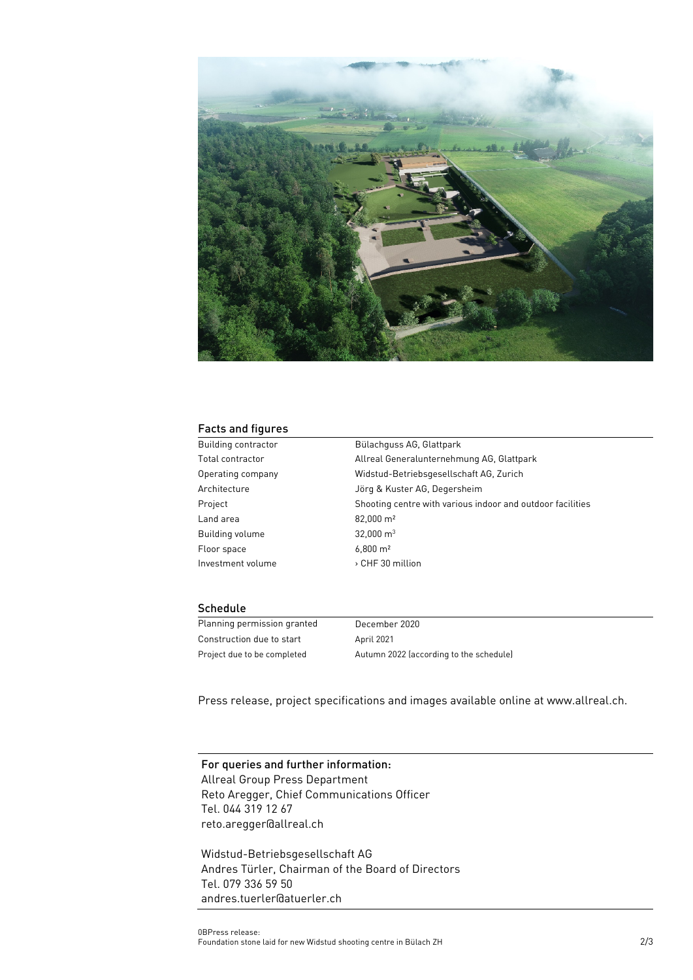

### Facts and figures

| Building contractor | Bülachguss AG, Glattpark                                   |
|---------------------|------------------------------------------------------------|
| Total contractor    | Allreal Generalunternehmung AG, Glattpark                  |
| Operating company   | Widstud-Betriebsgesellschaft AG, Zurich                    |
| Architecture        | Jörg & Kuster AG, Degersheim                               |
| Project             | Shooting centre with various indoor and outdoor facilities |
| Land area           | 82,000 m <sup>2</sup>                                      |
| Building volume     | 32,000 $m3$                                                |
| Floor space         | $6,800 \; \mathrm{m}^2$                                    |
| Investment volume   | > CHF 30 million                                           |
|                     |                                                            |

#### Schedule

| Planning permission granted | December 2020                           |
|-----------------------------|-----------------------------------------|
| Construction due to start   | April 2021                              |
| Project due to be completed | Autumn 2022 (according to the schedule) |

Press release, project specifications and images available online at www.allreal.ch.

For queries and further information: Allreal Group Press Department Reto Aregger, Chief Communications Officer Tel. 044 319 12 67 reto.aregger@allreal.ch

Widstud-Betriebsgesellschaft AG Andres Türler, Chairman of the Board of Directors Tel. 079 336 59 50 andres.tuerler@atuerler.ch

Foundation stone laid for new Widstud shooting centre in Bülach ZH 2/3